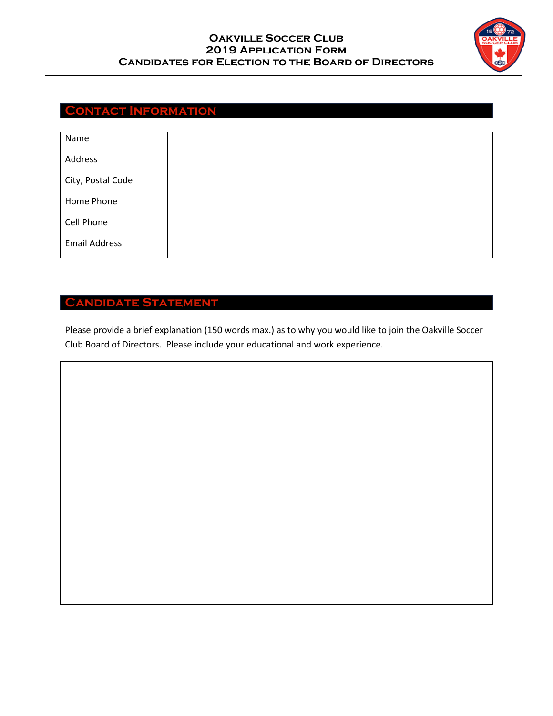## **Oakville Soccer Club 2019 Application Form Candidates for Election to the Board of Directors**



# **Contact Information**

| Name                 |  |
|----------------------|--|
| Address              |  |
| City, Postal Code    |  |
| Home Phone           |  |
| Cell Phone           |  |
| <b>Email Address</b> |  |

# **Candidate Statement**

Please provide a brief explanation (150 words max.) as to why you would like to join the Oakville Soccer Club Board of Directors. Please include your educational and work experience.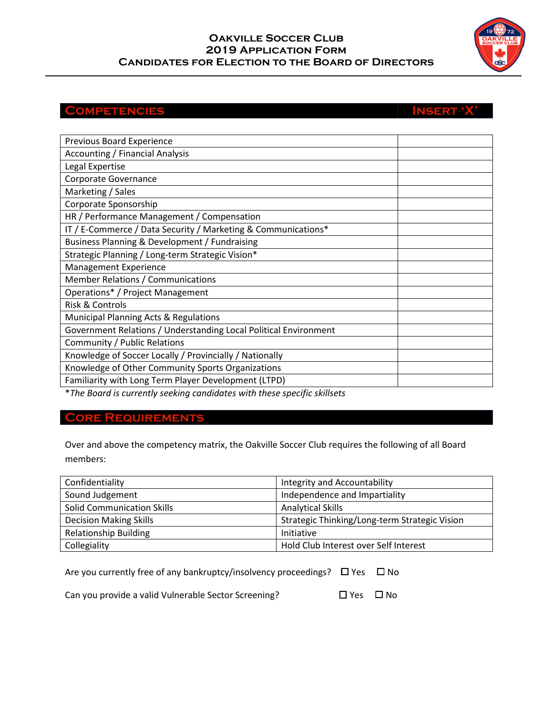## **Oakville Soccer Club 2019 Application Form Candidates for Election to the Board of Directors**

# **Competencies Insert 'X'**

| Previous Board Experience<br>Accounting / Financial Analysis<br>Legal Expertise<br>Corporate Governance<br>Marketing / Sales<br>Corporate Sponsorship<br>HR / Performance Management / Compensation<br>IT / E-Commerce / Data Security / Marketing & Communications*<br>Business Planning & Development / Fundraising<br>Strategic Planning / Long-term Strategic Vision*<br>Management Experience<br><b>Member Relations / Communications</b><br>Operations* / Project Management<br><b>Risk &amp; Controls</b><br>Municipal Planning Acts & Regulations<br>Government Relations / Understanding Local Political Environment<br>Community / Public Relations |  |  |
|---------------------------------------------------------------------------------------------------------------------------------------------------------------------------------------------------------------------------------------------------------------------------------------------------------------------------------------------------------------------------------------------------------------------------------------------------------------------------------------------------------------------------------------------------------------------------------------------------------------------------------------------------------------|--|--|
|                                                                                                                                                                                                                                                                                                                                                                                                                                                                                                                                                                                                                                                               |  |  |
|                                                                                                                                                                                                                                                                                                                                                                                                                                                                                                                                                                                                                                                               |  |  |
|                                                                                                                                                                                                                                                                                                                                                                                                                                                                                                                                                                                                                                                               |  |  |
|                                                                                                                                                                                                                                                                                                                                                                                                                                                                                                                                                                                                                                                               |  |  |
|                                                                                                                                                                                                                                                                                                                                                                                                                                                                                                                                                                                                                                                               |  |  |
|                                                                                                                                                                                                                                                                                                                                                                                                                                                                                                                                                                                                                                                               |  |  |
|                                                                                                                                                                                                                                                                                                                                                                                                                                                                                                                                                                                                                                                               |  |  |
|                                                                                                                                                                                                                                                                                                                                                                                                                                                                                                                                                                                                                                                               |  |  |
|                                                                                                                                                                                                                                                                                                                                                                                                                                                                                                                                                                                                                                                               |  |  |
|                                                                                                                                                                                                                                                                                                                                                                                                                                                                                                                                                                                                                                                               |  |  |
|                                                                                                                                                                                                                                                                                                                                                                                                                                                                                                                                                                                                                                                               |  |  |
|                                                                                                                                                                                                                                                                                                                                                                                                                                                                                                                                                                                                                                                               |  |  |
|                                                                                                                                                                                                                                                                                                                                                                                                                                                                                                                                                                                                                                                               |  |  |
|                                                                                                                                                                                                                                                                                                                                                                                                                                                                                                                                                                                                                                                               |  |  |
|                                                                                                                                                                                                                                                                                                                                                                                                                                                                                                                                                                                                                                                               |  |  |
|                                                                                                                                                                                                                                                                                                                                                                                                                                                                                                                                                                                                                                                               |  |  |
| Knowledge of Soccer Locally / Provincially / Nationally                                                                                                                                                                                                                                                                                                                                                                                                                                                                                                                                                                                                       |  |  |
| Knowledge of Other Community Sports Organizations                                                                                                                                                                                                                                                                                                                                                                                                                                                                                                                                                                                                             |  |  |
| Familiarity with Long Term Player Development (LTPD)                                                                                                                                                                                                                                                                                                                                                                                                                                                                                                                                                                                                          |  |  |

\**The Board is currently seeking candidates with these specific skillsets*

## **Core Requirements**

Over and above the competency matrix, the Oakville Soccer Club requires the following of all Board members:

| Confidentiality                   | Integrity and Accountability                  |
|-----------------------------------|-----------------------------------------------|
| Sound Judgement                   | Independence and Impartiality                 |
| <b>Solid Communication Skills</b> | <b>Analytical Skills</b>                      |
| <b>Decision Making Skills</b>     | Strategic Thinking/Long-term Strategic Vision |
| <b>Relationship Building</b>      | Initiative                                    |
| Collegiality                      | Hold Club Interest over Self Interest         |

| Are you currently free of any bankruptcy/insolvency proceedings? □ Yes □ No |  |
|-----------------------------------------------------------------------------|--|
|                                                                             |  |

Can you provide a valid Vulnerable Sector Screening?  $\square$  Yes  $\square$  No